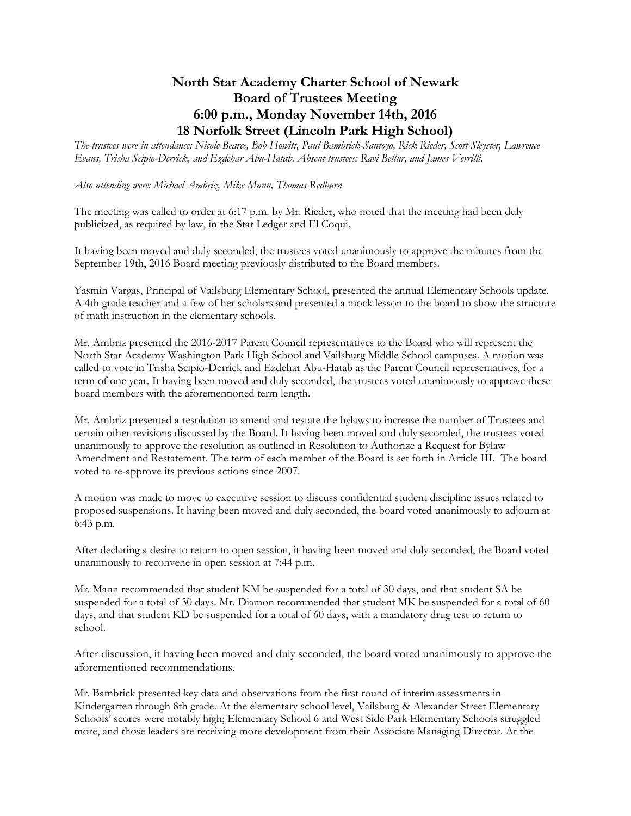## **North Star Academy Charter School of Newark Board of Trustees Meeting 6:00 p.m., Monday November 14th, 2016 18 Norfolk Street (Lincoln Park High School)**

*The trustees were in attendance: Nicole Bearce, Bob Howitt, Paul Bambrick-Santoyo, Rick Rieder, Scott Sleyster, Lawrence Evans, Trisha Scipio-Derrick, and Ezdehar Abu-Hatab. Absent trustees: Ravi Bellur, and James Verrilli.*

*Also attending were: Michael Ambriz, Mike Mann, Thomas Redburn*

The meeting was called to order at 6:17 p.m. by Mr. Rieder, who noted that the meeting had been duly publicized, as required by law, in the Star Ledger and El Coqui.

It having been moved and duly seconded, the trustees voted unanimously to approve the minutes from the September 19th, 2016 Board meeting previously distributed to the Board members.

Yasmin Vargas, Principal of Vailsburg Elementary School, presented the annual Elementary Schools update. A 4th grade teacher and a few of her scholars and presented a mock lesson to the board to show the structure of math instruction in the elementary schools.

Mr. Ambriz presented the 2016-2017 Parent Council representatives to the Board who will represent the North Star Academy Washington Park High School and Vailsburg Middle School campuses. A motion was called to vote in Trisha Scipio-Derrick and Ezdehar Abu-Hatab as the Parent Council representatives, for a term of one year. It having been moved and duly seconded, the trustees voted unanimously to approve these board members with the aforementioned term length.

Mr. Ambriz presented a resolution to amend and restate the bylaws to increase the number of Trustees and certain other revisions discussed by the Board. It having been moved and duly seconded, the trustees voted unanimously to approve the resolution as outlined in Resolution to Authorize a Request for Bylaw Amendment and Restatement. The term of each member of the Board is set forth in Article III. The board voted to re-approve its previous actions since 2007.

A motion was made to move to executive session to discuss confidential student discipline issues related to proposed suspensions. It having been moved and duly seconded, the board voted unanimously to adjourn at 6:43 p.m.

After declaring a desire to return to open session, it having been moved and duly seconded, the Board voted unanimously to reconvene in open session at 7:44 p.m.

Mr. Mann recommended that student KM be suspended for a total of 30 days, and that student SA be suspended for a total of 30 days. Mr. Diamon recommended that student MK be suspended for a total of 60 days, and that student KD be suspended for a total of 60 days, with a mandatory drug test to return to school.

After discussion, it having been moved and duly seconded, the board voted unanimously to approve the aforementioned recommendations.

Mr. Bambrick presented key data and observations from the first round of interim assessments in Kindergarten through 8th grade. At the elementary school level, Vailsburg & Alexander Street Elementary Schools' scores were notably high; Elementary School 6 and West Side Park Elementary Schools struggled more, and those leaders are receiving more development from their Associate Managing Director. At the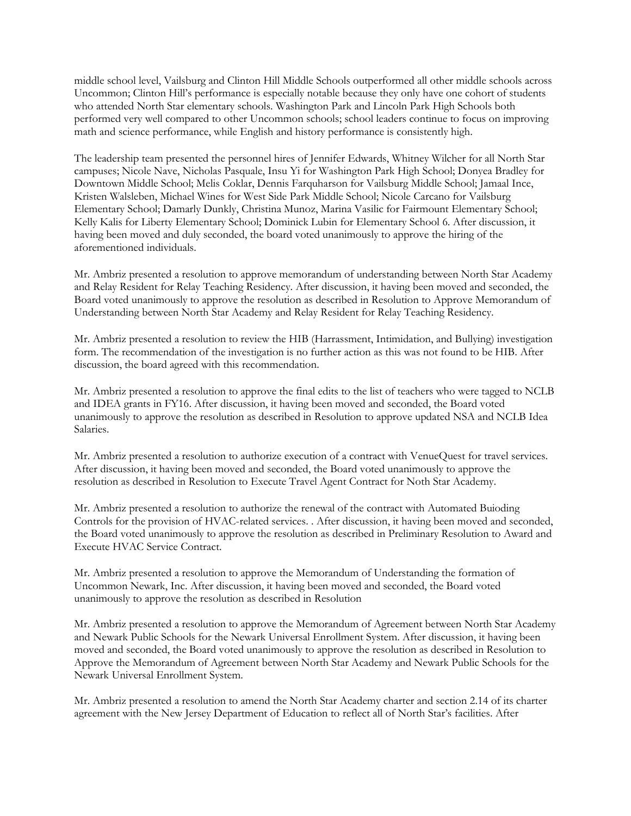middle school level, Vailsburg and Clinton Hill Middle Schools outperformed all other middle schools across Uncommon; Clinton Hill's performance is especially notable because they only have one cohort of students who attended North Star elementary schools. Washington Park and Lincoln Park High Schools both performed very well compared to other Uncommon schools; school leaders continue to focus on improving math and science performance, while English and history performance is consistently high.

The leadership team presented the personnel hires of Jennifer Edwards, Whitney Wilcher for all North Star campuses; Nicole Nave, Nicholas Pasquale, Insu Yi for Washington Park High School; Donyea Bradley for Downtown Middle School; Melis Coklar, Dennis Farquharson for Vailsburg Middle School; Jamaal Ince, Kristen Walsleben, Michael Wines for West Side Park Middle School; Nicole Carcano for Vailsburg Elementary School; Damarly Dunkly, Christina Munoz, Marina Vasilic for Fairmount Elementary School; Kelly Kalis for Liberty Elementary School; Dominick Lubin for Elementary School 6. After discussion, it having been moved and duly seconded, the board voted unanimously to approve the hiring of the aforementioned individuals.

Mr. Ambriz presented a resolution to approve memorandum of understanding between North Star Academy and Relay Resident for Relay Teaching Residency. After discussion, it having been moved and seconded, the Board voted unanimously to approve the resolution as described in Resolution to Approve Memorandum of Understanding between North Star Academy and Relay Resident for Relay Teaching Residency.

Mr. Ambriz presented a resolution to review the HIB (Harrassment, Intimidation, and Bullying) investigation form. The recommendation of the investigation is no further action as this was not found to be HIB. After discussion, the board agreed with this recommendation.

Mr. Ambriz presented a resolution to approve the final edits to the list of teachers who were tagged to NCLB and IDEA grants in FY16. After discussion, it having been moved and seconded, the Board voted unanimously to approve the resolution as described in Resolution to approve updated NSA and NCLB Idea Salaries.

Mr. Ambriz presented a resolution to authorize execution of a contract with VenueQuest for travel services. After discussion, it having been moved and seconded, the Board voted unanimously to approve the resolution as described in Resolution to Execute Travel Agent Contract for Noth Star Academy.

Mr. Ambriz presented a resolution to authorize the renewal of the contract with Automated Buioding Controls for the provision of HVAC-related services. . After discussion, it having been moved and seconded, the Board voted unanimously to approve the resolution as described in Preliminary Resolution to Award and Execute HVAC Service Contract.

Mr. Ambriz presented a resolution to approve the Memorandum of Understanding the formation of Uncommon Newark, Inc. After discussion, it having been moved and seconded, the Board voted unanimously to approve the resolution as described in Resolution

Mr. Ambriz presented a resolution to approve the Memorandum of Agreement between North Star Academy and Newark Public Schools for the Newark Universal Enrollment System. After discussion, it having been moved and seconded, the Board voted unanimously to approve the resolution as described in Resolution to Approve the Memorandum of Agreement between North Star Academy and Newark Public Schools for the Newark Universal Enrollment System.

Mr. Ambriz presented a resolution to amend the North Star Academy charter and section 2.14 of its charter agreement with the New Jersey Department of Education to reflect all of North Star's facilities. After